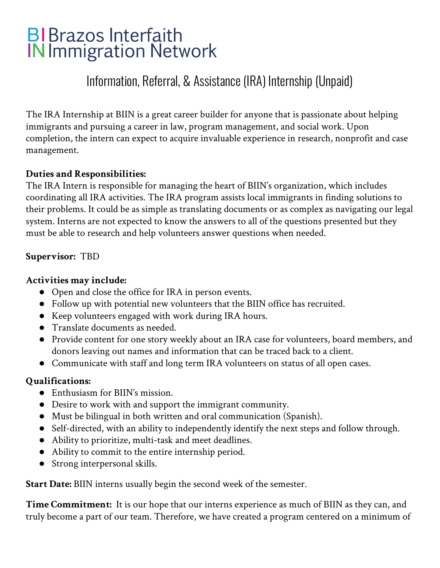# **BIBrazos Interfaith IN Immigration Network**

# Information, Referral, & Assistance (IRA) Internship (Unpaid)

The IRA Internship at BIIN is a great career builder for anyone that is passionate about helping immigrants and pursuing a career in law, program management, and social work. Upon completion, the intern can expect to acquire invaluable experience in research, nonprofit and case management.

# **Duties and Responsibilities:**

The IRA Intern is responsible for managing the heart of BIIN's organization, which includes coordinating all IRA activities. The IRA program assists local immigrants in finding solutions to their problems. It could be as simple as translating documents or as complex as navigating our legal system. Interns are not expected to know the answers to all of the questions presented but they must be able to research and help volunteers answer questions when needed.

#### **Supervisor:** TBD

#### **Activities may include:**

- Open and close the office for IRA in person events.
- Follow up with potential new volunteers that the BIIN office has recruited.
- Keep volunteers engaged with work during IRA hours.
- Translate documents as needed.
- Provide content for one story weekly about an IRA case for volunteers, board members, and donors leaving out names and information that can be traced back to a client.
- Communicate with staff and long term IRA volunteers on status of all open cases.

## **Qualifications:**

- Enthusiasm for BIIN's mission.
- Desire to work with and support the immigrant community.
- Must be bilingual in both written and oral communication (Spanish).
- Self-directed, with an ability to independently identify the next steps and follow through.
- Ability to prioritize, multi-task and meet deadlines.
- Ability to commit to the entire internship period.
- Strong interpersonal skills.

**Start Date:** BIIN interns usually begin the second week of the semester.

**Time Commitment:** It is our hope that our interns experience as much of BIIN as they can, and truly become a part of our team. Therefore, we have created a program centered on a minimum of